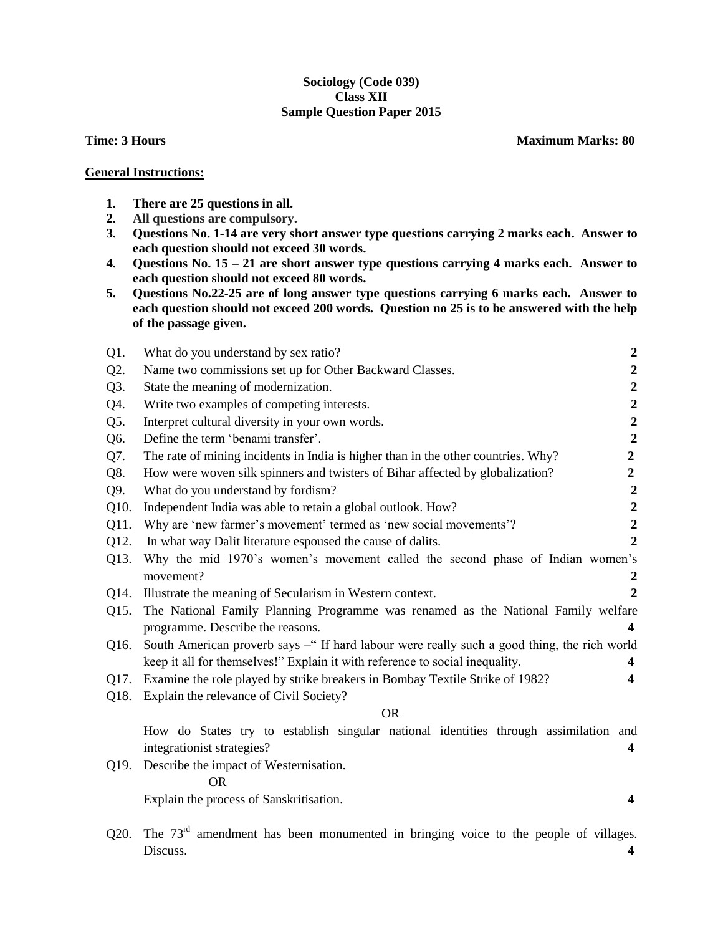## **Sociology (Code 039) Class XII Sample Question Paper 2015**

**Time: 3 Hours Maximum Marks: 80** 

## **General Instructions:**

- **1. There are 25 questions in all.**
- **2. All questions are compulsory.**
- **3. Questions No. 1-14 are very short answer type questions carrying 2 marks each. Answer to each question should not exceed 30 words.**
- **4. Questions No. 15 – 21 are short answer type questions carrying 4 marks each. Answer to each question should not exceed 80 words.**
- **5. Questions No.22-25 are of long answer type questions carrying 6 marks each. Answer to each question should not exceed 200 words. Question no 25 is to be answered with the help of the passage given.**

| $Q1$ . | What do you understand by sex ratio?                                                                    | $\boldsymbol{2}$ |
|--------|---------------------------------------------------------------------------------------------------------|------------------|
| Q2.    | Name two commissions set up for Other Backward Classes.                                                 | $\boldsymbol{2}$ |
| Q3.    | State the meaning of modernization.                                                                     | $\boldsymbol{2}$ |
| Q4.    | Write two examples of competing interests.                                                              | $\boldsymbol{2}$ |
| Q5.    | Interpret cultural diversity in your own words.                                                         | $\mathbf 2$      |
| Q6.    | Define the term 'benami transfer'.                                                                      | $\overline{2}$   |
| Q7.    | The rate of mining incidents in India is higher than in the other countries. Why?                       | $\boldsymbol{2}$ |
| Q8.    | How were woven silk spinners and twisters of Bihar affected by globalization?                           | $\overline{2}$   |
| Q9.    | What do you understand by fordism?                                                                      | $\boldsymbol{2}$ |
| Q10.   | Independent India was able to retain a global outlook. How?                                             | $\boldsymbol{2}$ |
| Q11.   | Why are 'new farmer's movement' termed as 'new social movements'?                                       | $\overline{2}$   |
| Q12.   | In what way Dalit literature espoused the cause of dalits.                                              | $\overline{2}$   |
| Q13.   | Why the mid 1970's women's movement called the second phase of Indian women's                           |                  |
|        | movement?                                                                                               | $\boldsymbol{2}$ |
| Q14.   | Illustrate the meaning of Secularism in Western context.                                                | $\overline{2}$   |
| Q15.   | The National Family Planning Programme was renamed as the National Family welfare                       |                  |
|        | programme. Describe the reasons.<br>$\overline{\mathbf{4}}$                                             |                  |
| Q16.   | South American proverb says -" If hard labour were really such a good thing, the rich world             |                  |
|        | keep it all for themselves!" Explain it with reference to social inequality.<br>$\overline{\mathbf{4}}$ |                  |
| Q17.   | Examine the role played by strike breakers in Bombay Textile Strike of 1982?<br>$\overline{\mathbf{4}}$ |                  |
| Q18.   | Explain the relevance of Civil Society?                                                                 |                  |
|        | <b>OR</b>                                                                                               |                  |
|        | How do States try to establish singular national identities through assimilation and                    |                  |
|        | integrationist strategies?<br>$\overline{\mathbf{4}}$                                                   |                  |
| Q19.   | Describe the impact of Westernisation.                                                                  |                  |
|        | <b>OR</b>                                                                                               |                  |
|        | Explain the process of Sanskritisation.<br>4                                                            |                  |
|        |                                                                                                         |                  |

Q20. The  $73<sup>rd</sup>$  amendment has been monumented in bringing voice to the people of villages. Discuss. **4**